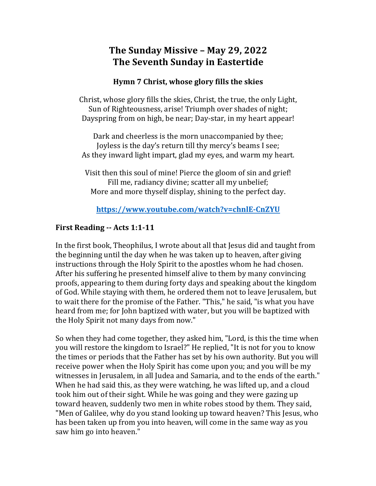# **The Sunday Missive – May 29, 2022 The Seventh Sunday in Eastertide**

#### **Hymn** 7 Christ, whose glory fills the skies

Christ, whose glory fills the skies, Christ, the true, the only Light, Sun of Righteousness, arise! Triumph over shades of night; Dayspring from on high, be near; Day-star, in my heart appear!

Dark and cheerless is the morn unaccompanied by thee; Joyless is the day's return till thy mercy's beams I see; As they inward light impart, glad my eyes, and warm my heart.

Visit then this soul of mine! Pierce the gloom of sin and grief! Fill me, radiancy divine; scatter all my unbelief; More and more thyself display, shining to the perfect day.

## **https://www.youtube.com/watch?v=chnlE-CnZYU**

## **First Reading -- Acts 1:1-11**

In the first book, Theophilus, I wrote about all that Jesus did and taught from the beginning until the day when he was taken up to heaven, after giving instructions through the Holy Spirit to the apostles whom he had chosen. After his suffering he presented himself alive to them by many convincing proofs, appearing to them during forty days and speaking about the kingdom of God. While staying with them, he ordered them not to leave Jerusalem, but to wait there for the promise of the Father. "This," he said, "is what you have heard from me; for John baptized with water, but you will be baptized with the Holy Spirit not many days from now."

So when they had come together, they asked him, "Lord, is this the time when you will restore the kingdom to Israel?" He replied, "It is not for you to know the times or periods that the Father has set by his own authority. But you will receive power when the Holy Spirit has come upon you; and you will be my witnesses in Jerusalem, in all Judea and Samaria, and to the ends of the earth." When he had said this, as they were watching, he was lifted up, and a cloud took him out of their sight. While he was going and they were gazing up toward heaven, suddenly two men in white robes stood by them. They said, "Men of Galilee, why do you stand looking up toward heaven? This Jesus, who has been taken up from you into heaven, will come in the same way as you saw him go into heaven."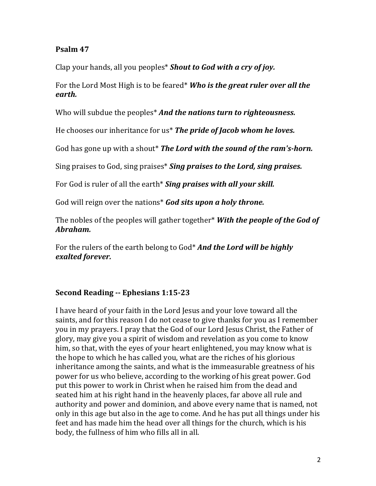#### **Psalm 47**

Clap your hands, all you peoples<sup>\*</sup> Shout to God with a cry of joy.

For the Lord Most High is to be feared<sup>\*</sup> Who is the great ruler over all the *earth.*

Who will subdue the peoples<sup>\*</sup> And the nations turn to righteousness.

He chooses our inheritance for us<sup>\*</sup> The pride of Jacob whom he loves.

God has gone up with a shout\* The Lord with the sound of the ram's-horn.

Sing praises to God, sing praises<sup>\*</sup> Sing praises to the Lord, sing praises.

For God is ruler of all the earth<sup>\*</sup> Sing praises with all your skill.

God will reign over the nations<sup>\*</sup> God sits upon a holy throne.

The nobles of the peoples will gather together<sup>\*</sup> *With the people of the God of Abraham.*

For the rulers of the earth belong to God<sup>\*</sup> **And the Lord will be highly** *exalted forever.*

## **Second Reading -- Ephesians 1:15-23**

I have heard of your faith in the Lord Jesus and your love toward all the saints, and for this reason I do not cease to give thanks for you as I remember you in my prayers. I pray that the God of our Lord Jesus Christ, the Father of glory, may give you a spirit of wisdom and revelation as you come to know him, so that, with the eyes of your heart enlightened, you may know what is the hope to which he has called you, what are the riches of his glorious inheritance among the saints, and what is the immeasurable greatness of his power for us who believe, according to the working of his great power. God put this power to work in Christ when he raised him from the dead and seated him at his right hand in the heavenly places, far above all rule and authority and power and dominion, and above every name that is named, not only in this age but also in the age to come. And he has put all things under his feet and has made him the head over all things for the church, which is his body, the fullness of him who fills all in all.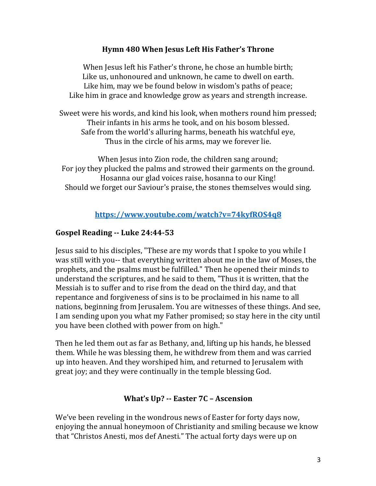#### **Hymn 480 When Jesus Left His Father's Throne**

When Jesus left his Father's throne, he chose an humble birth; Like us, unhonoured and unknown, he came to dwell on earth. Like him, may we be found below in wisdom's paths of peace; Like him in grace and knowledge grow as years and strength increase.

Sweet were his words, and kind his look, when mothers round him pressed; Their infants in his arms he took, and on his bosom blessed. Safe from the world's alluring harms, beneath his watchful eye, Thus in the circle of his arms, may we forever lie.

When Jesus into Zion rode, the children sang around; For joy they plucked the palms and strowed their garments on the ground. Hosanna our glad voices raise, hosanna to our King! Should we forget our Saviour's praise, the stones themselves would sing.

## **https://www.youtube.com/watch?v=74kyfROS4q8**

#### **Gospel Reading -- Luke 24:44-53**

Jesus said to his disciples, "These are my words that I spoke to you while I was still with you-- that everything written about me in the law of Moses, the prophets, and the psalms must be fulfilled." Then he opened their minds to understand the scriptures, and he said to them, "Thus it is written, that the Messiah is to suffer and to rise from the dead on the third day, and that repentance and forgiveness of sins is to be proclaimed in his name to all nations, beginning from Jerusalem. You are witnesses of these things. And see, I am sending upon you what my Father promised; so stay here in the city until you have been clothed with power from on high."

Then he led them out as far as Bethany, and, lifting up his hands, he blessed them. While he was blessing them, he withdrew from them and was carried up into heaven. And they worshiped him, and returned to Jerusalem with great joy; and they were continually in the temple blessing God.

#### **What's Up? -- Easter 7C - Ascension**

We've been reveling in the wondrous news of Easter for forty days now, enjoying the annual honeymoon of Christianity and smiling because we know that "Christos Anesti, mos def Anesti." The actual forty days were up on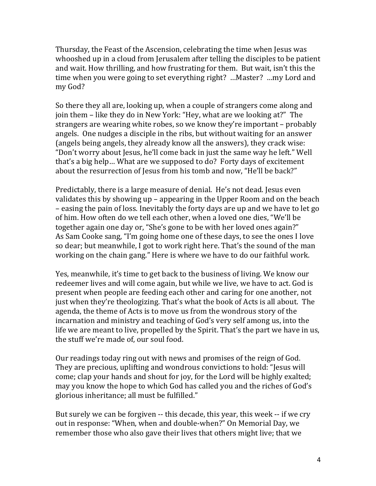Thursday, the Feast of the Ascension, celebrating the time when Jesus was whooshed up in a cloud from Jerusalem after telling the disciples to be patient and wait. How thrilling, and how frustrating for them. But wait, isn't this the time when you were going to set everything right? ...Master? ...my Lord and my God?

So there they all are, looking up, when a couple of strangers come along and join them – like they do in New York: "Hey, what are we looking at?" The strangers are wearing white robes, so we know they're important – probably angels. One nudges a disciple in the ribs, but without waiting for an answer (angels being angels, they already know all the answers), they crack wise: "Don't worry about Jesus, he'll come back in just the same way he left." Well that's a big help... What are we supposed to do? Forty days of excitement about the resurrection of Jesus from his tomb and now, "He'll be back?"

Predictably, there is a large measure of denial. He's not dead. Jesus even validates this by showing up – appearing in the Upper Room and on the beach – easing the pain of loss. Inevitably the forty days are up and we have to let go of him. How often do we tell each other, when a loved one dies, "We'll be together again one day or, "She's gone to be with her loved ones again?" As Sam Cooke sang, "I'm going home one of these days, to see the ones I love so dear; but meanwhile, I got to work right here. That's the sound of the man working on the chain gang." Here is where we have to do our faithful work.

Yes, meanwhile, it's time to get back to the business of living. We know our redeemer lives and will come again, but while we live, we have to act. God is present when people are feeding each other and caring for one another, not just when they're theologizing. That's what the book of Acts is all about. The agenda, the theme of Acts is to move us from the wondrous story of the incarnation and ministry and teaching of God's very self among us, into the life we are meant to live, propelled by the Spirit. That's the part we have in us, the stuff we're made of, our soul food.

Our readings today ring out with news and promises of the reign of God. They are precious, uplifting and wondrous convictions to hold: "Jesus will come; clap your hands and shout for joy, for the Lord will be highly exalted; may you know the hope to which God has called you and the riches of God's glorious inheritance; all must be fulfilled."

But surely we can be forgiven -- this decade, this year, this week -- if we cry out in response: "When, when and double-when?" On Memorial Day, we remember those who also gave their lives that others might live; that we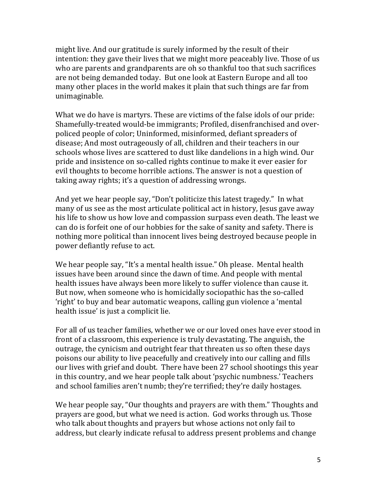might live. And our gratitude is surely informed by the result of their intention: they gave their lives that we might more peaceably live. Those of us who are parents and grandparents are oh so thankful too that such sacrifices are not being demanded today. But one look at Eastern Europe and all too many other places in the world makes it plain that such things are far from unimaginable.

What we do have is martyrs. These are victims of the false idols of our pride: Shamefully-treated would-be immigrants; Profiled, disenfranchised and overpoliced people of color; Uninformed, misinformed, defiant spreaders of disease; And most outrageously of all, children and their teachers in our schools whose lives are scattered to dust like dandelions in a high wind. Our pride and insistence on so-called rights continue to make it ever easier for evil thoughts to become horrible actions. The answer is not a question of taking away rights; it's a question of addressing wrongs.

And yet we hear people say, "Don't politicize this latest tragedy." In what many of us see as the most articulate political act in history, Jesus gave away his life to show us how love and compassion surpass even death. The least we can do is forfeit one of our hobbies for the sake of sanity and safety. There is nothing more political than innocent lives being destroyed because people in power defiantly refuse to act.

We hear people say, "It's a mental health issue." Oh please. Mental health issues have been around since the dawn of time. And people with mental health issues have always been more likely to suffer violence than cause it. But now, when someone who is homicidally sociopathic has the so-called 'right' to buy and bear automatic weapons, calling gun violence a 'mental health issue' is just a complicit lie.

For all of us teacher families, whether we or our loved ones have ever stood in front of a classroom, this experience is truly devastating. The anguish, the outrage, the cynicism and outright fear that threaten us so often these days poisons our ability to live peacefully and creatively into our calling and fills our lives with grief and doubt. There have been 27 school shootings this year in this country, and we hear people talk about 'psychic numbness.' Teachers and school families aren't numb; they're terrified; they're daily hostages.

We hear people say, "Our thoughts and prayers are with them." Thoughts and prayers are good, but what we need is action. God works through us. Those who talk about thoughts and prayers but whose actions not only fail to address, but clearly indicate refusal to address present problems and change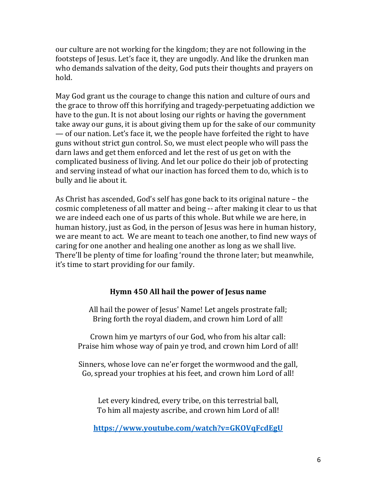our culture are not working for the kingdom; they are not following in the footsteps of Jesus. Let's face it, they are ungodly. And like the drunken man who demands salvation of the deity, God puts their thoughts and prayers on hold.

May God grant us the courage to change this nation and culture of ours and the grace to throw off this horrifying and tragedy-perpetuating addiction we have to the gun. It is not about losing our rights or having the government take away our guns, it is about giving them up for the sake of our community — of our nation. Let's face it, we the people have forfeited the right to have guns without strict gun control. So, we must elect people who will pass the darn laws and get them enforced and let the rest of us get on with the complicated business of living. And let our police do their job of protecting and serving instead of what our inaction has forced them to do, which is to bully and lie about it.

As Christ has ascended, God's self has gone back to its original nature - the cosmic completeness of all matter and being -- after making it clear to us that we are indeed each one of us parts of this whole. But while we are here, in human history, just as God, in the person of Jesus was here in human history, we are meant to act. We are meant to teach one another, to find new ways of caring for one another and healing one another as long as we shall live. There'll be plenty of time for loafing 'round the throne later; but meanwhile, it's time to start providing for our family.

#### **Hymn 450 All hail the power of Jesus name**

All hail the power of Jesus' Name! Let angels prostrate fall; Bring forth the royal diadem, and crown him Lord of all!

Crown him ye martyrs of our God, who from his altar call: Praise him whose way of pain ye trod, and crown him Lord of all!

Sinners, whose love can ne'er forget the wormwood and the gall, Go, spread your trophies at his feet, and crown him Lord of all!

Let every kindred, every tribe, on this terrestrial ball, To him all majesty ascribe, and crown him Lord of all!

**https://www.youtube.com/watch?v=GKOVqFcdEgU**